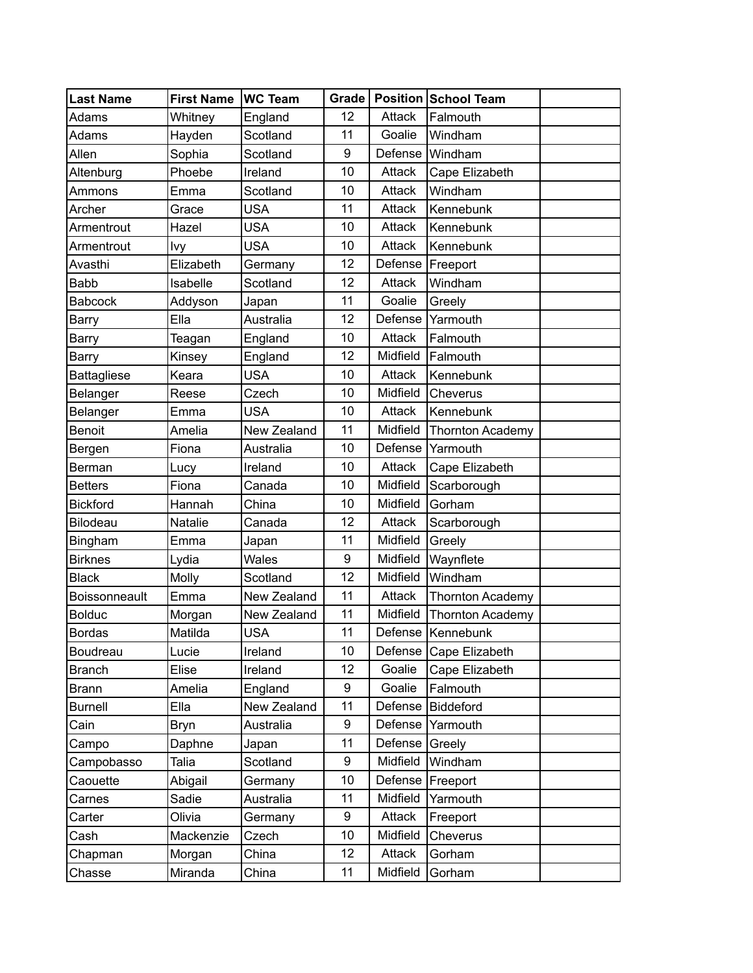| Last Name            | <b>First Name</b> | <b>WC Team</b> |    |          | Grade   Position   School Team |  |
|----------------------|-------------------|----------------|----|----------|--------------------------------|--|
| Adams                | Whitney           | England        | 12 | Attack   | Falmouth                       |  |
| Adams                | Hayden            | Scotland       | 11 | Goalie   | Windham                        |  |
| Allen                | Sophia            | Scotland       | 9  | Defense  | Windham                        |  |
| Altenburg            | Phoebe            | Ireland        | 10 | Attack   | Cape Elizabeth                 |  |
| Ammons               | Emma              | Scotland       | 10 | Attack   | Windham                        |  |
| Archer               | Grace             | <b>USA</b>     | 11 | Attack   | Kennebunk                      |  |
| Armentrout           | Hazel             | <b>USA</b>     | 10 | Attack   | Kennebunk                      |  |
| Armentrout           | Ivy               | <b>USA</b>     | 10 | Attack   | Kennebunk                      |  |
| Avasthi              | Elizabeth         | Germany        | 12 | Defense  | Freeport                       |  |
| Babb                 | Isabelle          | Scotland       | 12 | Attack   | Windham                        |  |
| <b>Babcock</b>       | Addyson           | Japan          | 11 | Goalie   | Greely                         |  |
| <b>Barry</b>         | Ella              | Australia      | 12 | Defense  | Yarmouth                       |  |
| <b>Barry</b>         | Teagan            | England        | 10 | Attack   | Falmouth                       |  |
| <b>Barry</b>         | Kinsey            | England        | 12 | Midfield | Falmouth                       |  |
| <b>Battagliese</b>   | Keara             | <b>USA</b>     | 10 | Attack   | Kennebunk                      |  |
| Belanger             | Reese             | Czech          | 10 | Midfield | Cheverus                       |  |
| Belanger             | Emma              | <b>USA</b>     | 10 | Attack   | Kennebunk                      |  |
| <b>Benoit</b>        | Amelia            | New Zealand    | 11 | Midfield | <b>Thornton Academy</b>        |  |
| Bergen               | Fiona             | Australia      | 10 | Defense  | Yarmouth                       |  |
| Berman               | Lucy              | Ireland        | 10 | Attack   | Cape Elizabeth                 |  |
| <b>Betters</b>       | Fiona             | Canada         | 10 | Midfield | Scarborough                    |  |
| <b>Bickford</b>      | Hannah            | China          | 10 | Midfield | Gorham                         |  |
| Bilodeau             | Natalie           | Canada         | 12 | Attack   | Scarborough                    |  |
| Bingham              | Emma              | Japan          | 11 | Midfield | Greely                         |  |
| <b>Birknes</b>       | Lydia             | Wales          | 9  | Midfield | Waynflete                      |  |
| <b>Black</b>         | Molly             | Scotland       | 12 | Midfield | Windham                        |  |
| <b>Boissonneault</b> | Emma              | New Zealand    | 11 | Attack   | Thornton Academy               |  |
| <b>Bolduc</b>        | Morgan            | New Zealand    | 11 | Midfield | Thornton Academy               |  |
| Bordas               | Matilda           | <b>USA</b>     | 11 |          | Defense   Kennebunk            |  |
| Boudreau             | Lucie             | Ireland        | 10 |          | Defense   Cape Elizabeth       |  |
| <b>Branch</b>        | Elise             | Ireland        | 12 | Goalie   | Cape Elizabeth                 |  |
| Brann                | Amelia            | England        | 9  | Goalie   | Falmouth                       |  |
| <b>Burnell</b>       | Ella              | New Zealand    | 11 | Defense  | Biddeford                      |  |
| Cain                 | Bryn              | Australia      | 9  | Defense  | Yarmouth                       |  |
| Campo                | Daphne            | Japan          | 11 | Defense  | Greely                         |  |
| Campobasso           | Talia             | Scotland       | 9  | Midfield | Windham                        |  |
| Caouette             | Abigail           | Germany        | 10 | Defense  | Freeport                       |  |
| Carnes               | Sadie             | Australia      | 11 | Midfield | Yarmouth                       |  |
| Carter               | Olivia            | Germany        | 9  | Attack   | Freeport                       |  |
| Cash                 | Mackenzie         | Czech          | 10 | Midfield | Cheverus                       |  |
| Chapman              | Morgan            | China          | 12 | Attack   | Gorham                         |  |
| Chasse               | Miranda           | China          | 11 | Midfield | Gorham                         |  |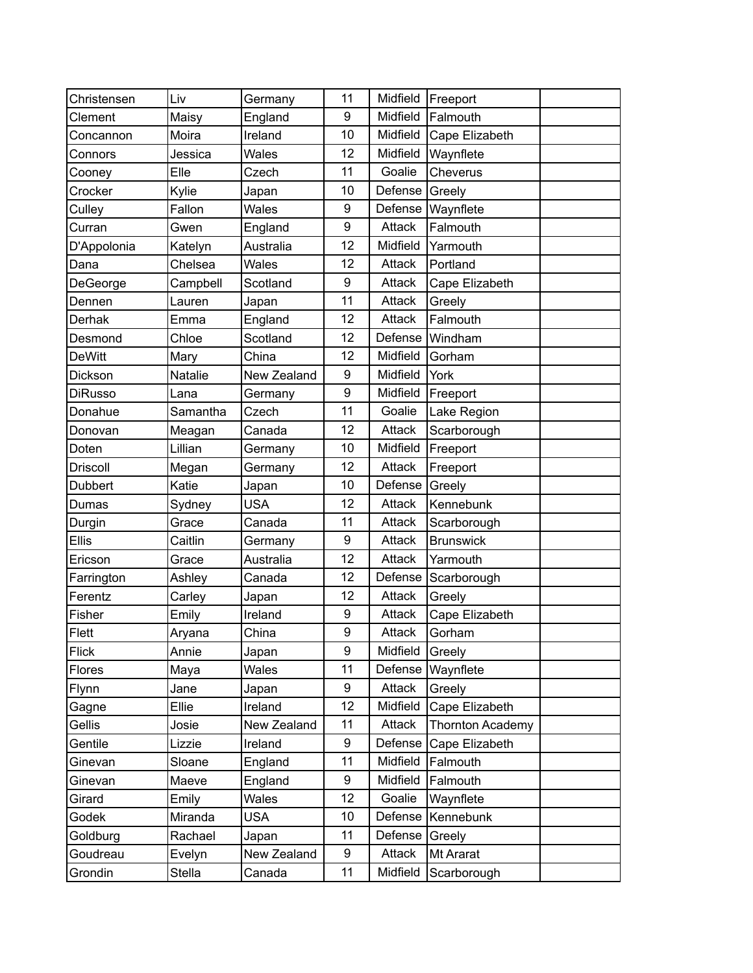| Christensen     | Liv      | Germany     | 11 | Midfield      | Freeport                |  |
|-----------------|----------|-------------|----|---------------|-------------------------|--|
| Clement         | Maisy    | England     | 9  | Midfield      | Falmouth                |  |
| Concannon       | Moira    | Ireland     | 10 | Midfield      | Cape Elizabeth          |  |
| Connors         | Jessica  | Wales       | 12 | Midfield      | Waynflete               |  |
| Cooney          | Elle     | Czech       | 11 | Goalie        | Cheverus                |  |
| Crocker         | Kylie    | Japan       | 10 | Defense       | Greely                  |  |
| Culley          | Fallon   | Wales       | 9  | Defense       | Waynflete               |  |
| Curran          | Gwen     | England     | 9  | Attack        | Falmouth                |  |
| D'Appolonia     | Katelyn  | Australia   | 12 | Midfield      | Yarmouth                |  |
| Dana            | Chelsea  | Wales       | 12 | Attack        | Portland                |  |
| DeGeorge        | Campbell | Scotland    | 9  | Attack        | Cape Elizabeth          |  |
| Dennen          | Lauren   | Japan       | 11 | Attack        | Greely                  |  |
| Derhak          | Emma     | England     | 12 | Attack        | Falmouth                |  |
| Desmond         | Chloe    | Scotland    | 12 | Defense       | Windham                 |  |
| <b>DeWitt</b>   | Mary     | China       | 12 | Midfield      | Gorham                  |  |
| Dickson         | Natalie  | New Zealand | 9  | Midfield      | York                    |  |
| <b>DiRusso</b>  | Lana     | Germany     | 9  | Midfield      | Freeport                |  |
| Donahue         | Samantha | Czech       | 11 | Goalie        | Lake Region             |  |
| Donovan         | Meagan   | Canada      | 12 | Attack        | Scarborough             |  |
| Doten           | Lillian  | Germany     | 10 | Midfield      | Freeport                |  |
| <b>Driscoll</b> | Megan    | Germany     | 12 | Attack        | Freeport                |  |
| <b>Dubbert</b>  | Katie    | Japan       | 10 | Defense       | Greely                  |  |
| Dumas           | Sydney   | <b>USA</b>  | 12 | Attack        | Kennebunk               |  |
| Durgin          | Grace    | Canada      | 11 | Attack        | Scarborough             |  |
| Ellis           | Caitlin  | Germany     | 9  | Attack        | <b>Brunswick</b>        |  |
| Ericson         | Grace    | Australia   | 12 | Attack        | Yarmouth                |  |
| Farrington      | Ashley   | Canada      | 12 | Defense       | Scarborough             |  |
| Ferentz         | Carley   | Japan       | 12 | Attack        | Greely                  |  |
| Fisher          | Emily    | Ireland     | 9  | Attack        | Cape Elizabeth          |  |
| Flett           | Aryana   | China       | 9  | <b>Attack</b> | Gorham                  |  |
| Flick           | Annie    | Japan       | 9  | Midfield      | Greely                  |  |
| Flores          | Maya     | Wales       | 11 | Defense       | Waynflete               |  |
| Flynn           | Jane     | Japan       | 9  | Attack        | Greely                  |  |
| Gagne           | Ellie    | Ireland     | 12 | Midfield      | Cape Elizabeth          |  |
| Gellis          | Josie    | New Zealand | 11 | Attack        | <b>Thornton Academy</b> |  |
| Gentile         | Lizzie   | Ireland     | 9  | Defense       | Cape Elizabeth          |  |
| Ginevan         | Sloane   | England     | 11 | Midfield      | Falmouth                |  |
| Ginevan         | Maeve    | England     | 9  | Midfield      | Falmouth                |  |
| Girard          | Emily    | Wales       | 12 | Goalie        | Waynflete               |  |
| Godek           | Miranda  | <b>USA</b>  | 10 | Defense       | Kennebunk               |  |
| Goldburg        | Rachael  | Japan       | 11 | Defense       | Greely                  |  |
| Goudreau        | Evelyn   | New Zealand | 9  | Attack        | Mt Ararat               |  |
| Grondin         | Stella   | Canada      | 11 | Midfield      | Scarborough             |  |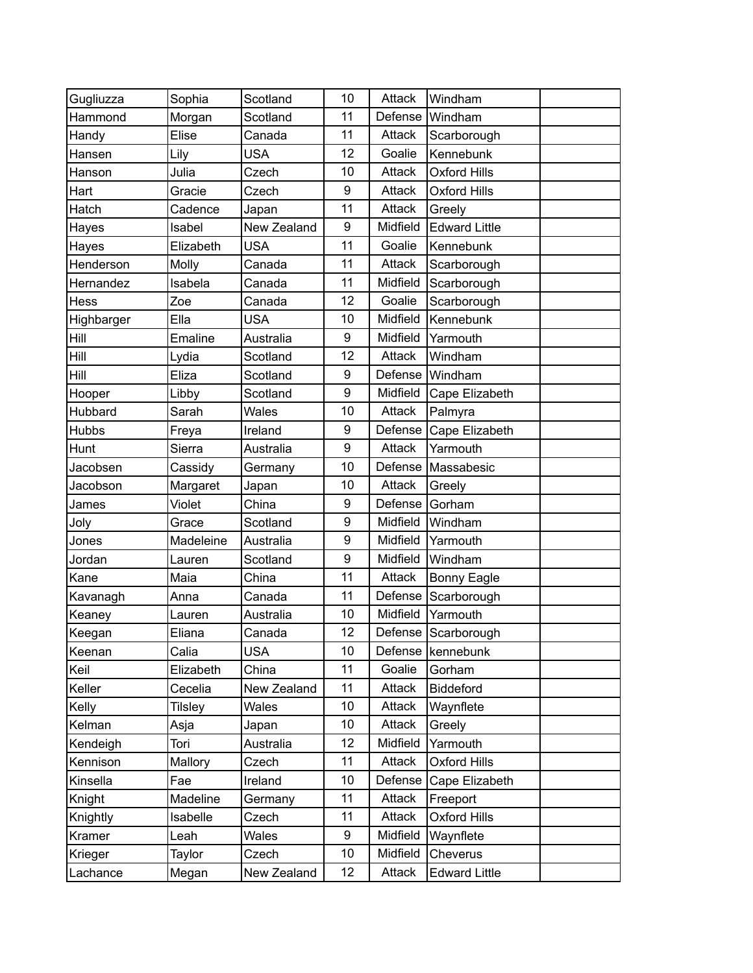| Gugliuzza    | Sophia         | Scotland    | 10 | Attack   | Windham               |  |
|--------------|----------------|-------------|----|----------|-----------------------|--|
| Hammond      | Morgan         | Scotland    | 11 | Defense  | Windham               |  |
| Handy        | Elise          | Canada      | 11 | Attack   | Scarborough           |  |
| Hansen       | Lily           | <b>USA</b>  | 12 | Goalie   | Kennebunk             |  |
| Hanson       | Julia          | Czech       | 10 | Attack   | <b>Oxford Hills</b>   |  |
| Hart         | Gracie         | Czech       | 9  | Attack   | <b>Oxford Hills</b>   |  |
| Hatch        | Cadence        | Japan       | 11 | Attack   | Greely                |  |
| Hayes        | Isabel         | New Zealand | 9  | Midfield | <b>Edward Little</b>  |  |
| Hayes        | Elizabeth      | <b>USA</b>  | 11 | Goalie   | Kennebunk             |  |
| Henderson    | Molly          | Canada      | 11 | Attack   | Scarborough           |  |
| Hernandez    | Isabela        | Canada      | 11 | Midfield | Scarborough           |  |
| Hess         | Zoe            | Canada      | 12 | Goalie   | Scarborough           |  |
| Highbarger   | Ella           | <b>USA</b>  | 10 | Midfield | Kennebunk             |  |
| Hill         | Emaline        | Australia   | 9  | Midfield | Yarmouth              |  |
| Hill         | Lydia          | Scotland    | 12 | Attack   | Windham               |  |
| Hill         | Eliza          | Scotland    | 9  | Defense  | Windham               |  |
| Hooper       | Libby          | Scotland    | 9  | Midfield | Cape Elizabeth        |  |
| Hubbard      | Sarah          | Wales       | 10 | Attack   | Palmyra               |  |
| <b>Hubbs</b> | Freya          | Ireland     | 9  | Defense  | Cape Elizabeth        |  |
| Hunt         | Sierra         | Australia   | 9  | Attack   | Yarmouth              |  |
| Jacobsen     | Cassidy        | Germany     | 10 | Defense  | Massabesic            |  |
| Jacobson     | Margaret       | Japan       | 10 | Attack   | Greely                |  |
| James        | Violet         | China       | 9  | Defense  | Gorham                |  |
| Joly         | Grace          | Scotland    | 9  | Midfield | Windham               |  |
| Jones        | Madeleine      | Australia   | 9  | Midfield | Yarmouth              |  |
| Jordan       | Lauren         | Scotland    | 9  | Midfield | Windham               |  |
| Kane         | Maia           | China       | 11 | Attack   | <b>Bonny Eagle</b>    |  |
| Kavanagh     | Anna           | Canada      | 11 | Defense  | Scarborough           |  |
| Keaney       | Lauren         | Australia   | 10 | Midfield | Yarmouth              |  |
| Keegan       | Eliana         | Canada      | 12 |          | Defense   Scarborough |  |
| Keenan       | Calia          | <b>USA</b>  | 10 | Defense  | kennebunk             |  |
| Keil         | Elizabeth      | China       | 11 | Goalie   | Gorham                |  |
| Keller       | Cecelia        | New Zealand | 11 | Attack   | Biddeford             |  |
| Kelly        | <b>Tilsley</b> | Wales       | 10 | Attack   | Waynflete             |  |
| Kelman       | Asja           | Japan       | 10 | Attack   | Greely                |  |
| Kendeigh     | Tori           | Australia   | 12 | Midfield | Yarmouth              |  |
| Kennison     | Mallory        | Czech       | 11 | Attack   | Oxford Hills          |  |
| Kinsella     | Fae            | Ireland     | 10 | Defense  | Cape Elizabeth        |  |
| Knight       | Madeline       | Germany     | 11 | Attack   | Freeport              |  |
| Knightly     | Isabelle       | Czech       | 11 | Attack   | Oxford Hills          |  |
| Kramer       | Leah           | Wales       | 9  | Midfield | Waynflete             |  |
| Krieger      | Taylor         | Czech       | 10 | Midfield | Cheverus              |  |
| Lachance     | Megan          | New Zealand | 12 | Attack   | <b>Edward Little</b>  |  |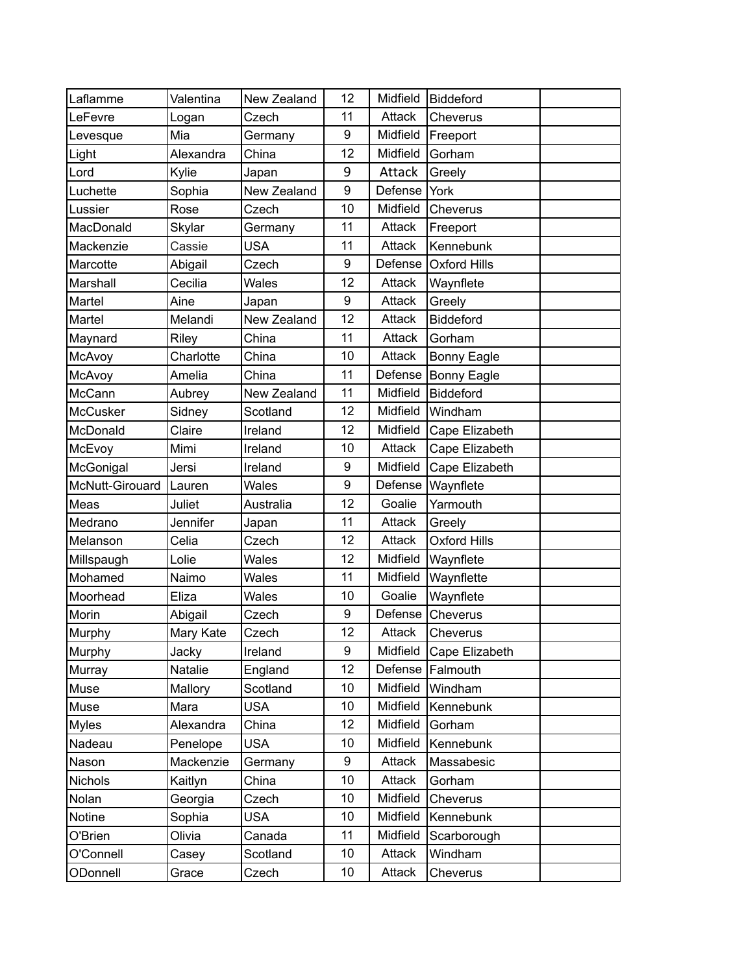| Laflamme        | Valentina | New Zealand | 12 | Midfield | Biddeford           |  |
|-----------------|-----------|-------------|----|----------|---------------------|--|
| LeFevre         | Logan     | Czech       | 11 | Attack   | Cheverus            |  |
| Levesque        | Mia       | Germany     | 9  | Midfield | Freeport            |  |
| Light           | Alexandra | China       | 12 | Midfield | Gorham              |  |
| Lord            | Kylie     | Japan       | 9  | Attack   | Greely              |  |
| Luchette        | Sophia    | New Zealand | 9  | Defense  | York                |  |
| Lussier         | Rose      | Czech       | 10 | Midfield | Cheverus            |  |
| MacDonald       | Skylar    | Germany     | 11 | Attack   | Freeport            |  |
| Mackenzie       | Cassie    | <b>USA</b>  | 11 | Attack   | Kennebunk           |  |
| Marcotte        | Abigail   | Czech       | 9  | Defense  | <b>Oxford Hills</b> |  |
| Marshall        | Cecilia   | Wales       | 12 | Attack   | Waynflete           |  |
| Martel          | Aine      | Japan       | 9  | Attack   | Greely              |  |
| Martel          | Melandi   | New Zealand | 12 | Attack   | Biddeford           |  |
| Maynard         | Riley     | China       | 11 | Attack   | Gorham              |  |
| McAvoy          | Charlotte | China       | 10 | Attack   | <b>Bonny Eagle</b>  |  |
| McAvoy          | Amelia    | China       | 11 | Defense  | <b>Bonny Eagle</b>  |  |
| McCann          | Aubrey    | New Zealand | 11 | Midfield | <b>Biddeford</b>    |  |
| McCusker        | Sidney    | Scotland    | 12 | Midfield | Windham             |  |
| McDonald        | Claire    | Ireland     | 12 | Midfield | Cape Elizabeth      |  |
| McEvoy          | Mimi      | Ireland     | 10 | Attack   | Cape Elizabeth      |  |
| McGonigal       | Jersi     | Ireland     | 9  | Midfield | Cape Elizabeth      |  |
| McNutt-Girouard | Lauren    | Wales       | 9  | Defense  | Waynflete           |  |
| Meas            | Juliet    | Australia   | 12 | Goalie   | Yarmouth            |  |
| Medrano         | Jennifer  | Japan       | 11 | Attack   | Greely              |  |
| Melanson        | Celia     | Czech       | 12 | Attack   | <b>Oxford Hills</b> |  |
| Millspaugh      | Lolie     | Wales       | 12 | Midfield | Waynflete           |  |
| Mohamed         | Naimo     | Wales       | 11 | Midfield | Waynflette          |  |
| Moorhead        | Eliza     | Wales       | 10 | Goalie   | Waynflete           |  |
| Morin           | Abigail   | Czech       | 9  | Defense  | Cheverus            |  |
| Murphy          | Mary Kate | Czech       | 12 | Attack   | Cheverus            |  |
| Murphy          | Jacky     | Ireland     | 9  | Midfield | Cape Elizabeth      |  |
| Murray          | Natalie   | England     | 12 | Defense  | Falmouth            |  |
| Muse            | Mallory   | Scotland    | 10 | Midfield | Windham             |  |
| Muse            | Mara      | <b>USA</b>  | 10 | Midfield | Kennebunk           |  |
| <b>Myles</b>    | Alexandra | China       | 12 | Midfield | Gorham              |  |
| Nadeau          | Penelope  | <b>USA</b>  | 10 | Midfield | Kennebunk           |  |
| Nason           | Mackenzie | Germany     | 9  | Attack   | Massabesic          |  |
| <b>Nichols</b>  | Kaitlyn   | China       | 10 | Attack   | Gorham              |  |
| Nolan           | Georgia   | Czech       | 10 | Midfield | Cheverus            |  |
| Notine          | Sophia    | <b>USA</b>  | 10 | Midfield | Kennebunk           |  |
| O'Brien         | Olivia    | Canada      | 11 | Midfield | Scarborough         |  |
| O'Connell       | Casey     | Scotland    | 10 | Attack   | Windham             |  |
| ODonnell        | Grace     | Czech       | 10 | Attack   | Cheverus            |  |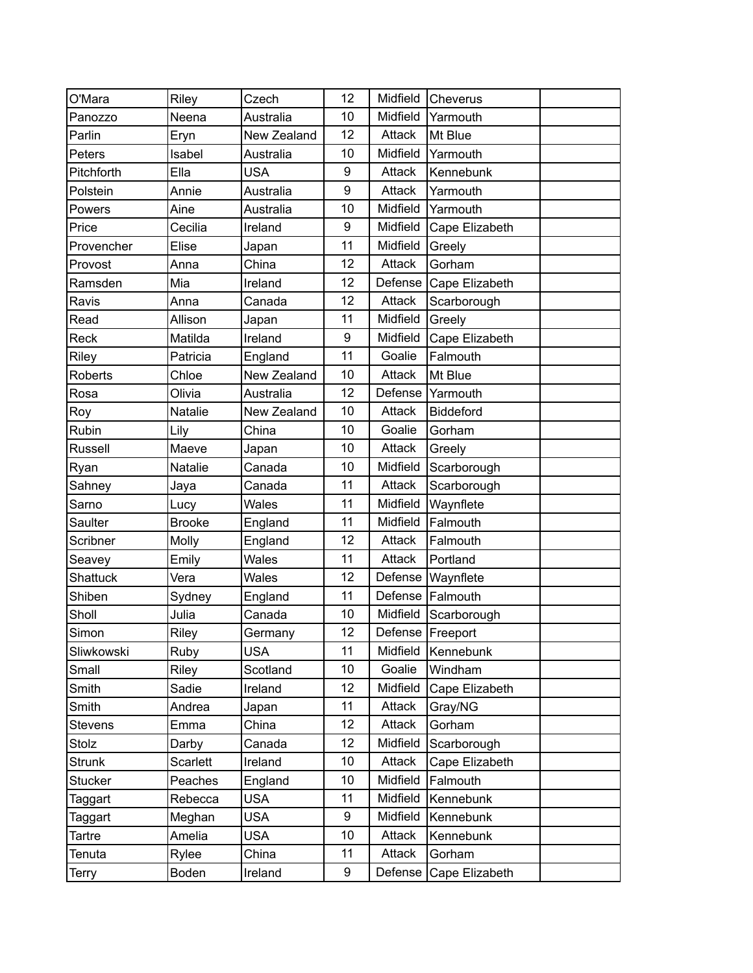| O'Mara         | Riley           | Czech       | 12               | Midfield | Cheverus           |  |
|----------------|-----------------|-------------|------------------|----------|--------------------|--|
| Panozzo        | Neena           | Australia   | 10               | Midfield | Yarmouth           |  |
| Parlin         | Eryn            | New Zealand | 12               | Attack   | Mt Blue            |  |
| Peters         | Isabel          | Australia   | 10               | Midfield | Yarmouth           |  |
| Pitchforth     | Ella            | <b>USA</b>  | 9                | Attack   | Kennebunk          |  |
| Polstein       | Annie           | Australia   | 9                | Attack   | Yarmouth           |  |
| Powers         | Aine            | Australia   | 10               | Midfield | Yarmouth           |  |
| Price          | Cecilia         | Ireland     | $\boldsymbol{9}$ | Midfield | Cape Elizabeth     |  |
| Provencher     | Elise           | Japan       | 11               | Midfield | Greely             |  |
| Provost        | Anna            | China       | 12               | Attack   | Gorham             |  |
| Ramsden        | Mia             | Ireland     | 12               | Defense  | Cape Elizabeth     |  |
| Ravis          | Anna            | Canada      | 12               | Attack   | Scarborough        |  |
| Read           | Allison         | Japan       | 11               | Midfield | Greely             |  |
| Reck           | Matilda         | Ireland     | $\boldsymbol{9}$ | Midfield | Cape Elizabeth     |  |
| Riley          | Patricia        | England     | 11               | Goalie   | Falmouth           |  |
| <b>Roberts</b> | Chloe           | New Zealand | 10               | Attack   | Mt Blue            |  |
| Rosa           | Olivia          | Australia   | 12               | Defense  | Yarmouth           |  |
| Roy            | Natalie         | New Zealand | 10               | Attack   | <b>Biddeford</b>   |  |
| Rubin          | Lily            | China       | 10               | Goalie   | Gorham             |  |
| Russell        | Maeve           | Japan       | 10               | Attack   | Greely             |  |
| Ryan           | Natalie         | Canada      | 10               | Midfield | Scarborough        |  |
| Sahney         | Jaya            | Canada      | 11               | Attack   | Scarborough        |  |
| Sarno          | Lucy            | Wales       | 11               | Midfield | Waynflete          |  |
| Saulter        | <b>Brooke</b>   | England     | 11               | Midfield | Falmouth           |  |
| Scribner       | Molly           | England     | 12               | Attack   | Falmouth           |  |
| Seavey         | Emily           | Wales       | 11               | Attack   | Portland           |  |
| Shattuck       | Vera            | Wales       | 12               | Defense  | Waynflete          |  |
| Shiben         | Sydney          | England     | 11               |          | Defense Falmouth   |  |
| Sholl          | Julia           | Canada      | 10               | Midfield | Scarborough        |  |
| Simon          | Riley           | Germany     | 12               |          | Defense   Freeport |  |
| Sliwkowski     | Ruby            | <b>USA</b>  | 11               | Midfield | Kennebunk          |  |
| Small          | Riley           | Scotland    | 10               | Goalie   | Windham            |  |
| Smith          | Sadie           | Ireland     | 12               | Midfield | Cape Elizabeth     |  |
| Smith          | Andrea          | Japan       | 11               | Attack   | Gray/NG            |  |
| <b>Stevens</b> | Emma            | China       | 12               | Attack   | Gorham             |  |
| Stolz          | Darby           | Canada      | 12               | Midfield | Scarborough        |  |
| <b>Strunk</b>  | <b>Scarlett</b> | Ireland     | 10               | Attack   | Cape Elizabeth     |  |
| Stucker        | Peaches         | England     | 10               | Midfield | Falmouth           |  |
| Taggart        | Rebecca         | <b>USA</b>  | 11               | Midfield | Kennebunk          |  |
| Taggart        | Meghan          | <b>USA</b>  | 9                | Midfield | Kennebunk          |  |
| Tartre         | Amelia          | <b>USA</b>  | 10               | Attack   | Kennebunk          |  |
| Tenuta         | Rylee           | China       | 11               | Attack   | Gorham             |  |
| Terry          | Boden           | Ireland     | 9                | Defense  | Cape Elizabeth     |  |